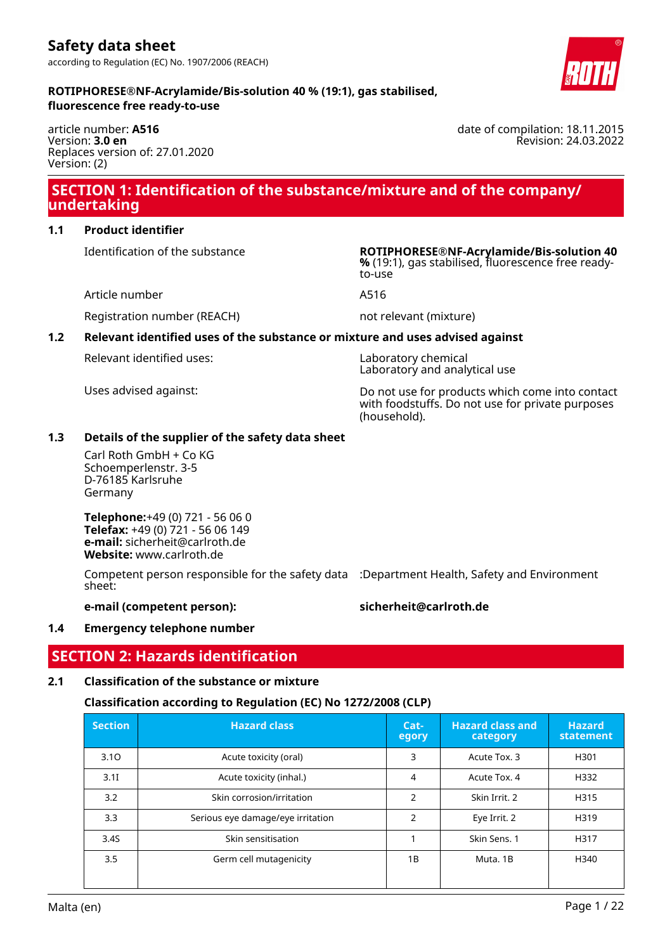article number: **A516** Version: **3.0 en** Replaces version of: 27.01.2020 Version: (2)

### **SECTION 1: Identification of the substance/mixture and of the company/ undertaking**

### **1.1 Product identifier**

Identification of the substance **ROTIPHORESE®NF-Acrylamide/Bis-solution 40**

Article number **A516** 

Registration number (REACH) not relevant (mixture)

### **1.2 Relevant identified uses of the substance or mixture and uses advised against**

Relevant identified uses: Laboratory chemical

Uses advised against: Do not use for products which come into contact with foodstuffs. Do not use for private purposes (household).

### **1.3 Details of the supplier of the safety data sheet**

Carl Roth GmbH + Co KG Schoemperlenstr. 3-5 D-76185 Karlsruhe Germany

**Telephone:**+49 (0) 721 - 56 06 0 **Telefax:** +49 (0) 721 - 56 06 149 **e-mail:** sicherheit@carlroth.de **Website:** www.carlroth.de

Competent person responsible for the safety data :Department Health, Safety and Environment sheet:

### **e-mail (competent person): sicherheit@carlroth.de**

### **1.4 Emergency telephone number**

## **SECTION 2: Hazards identification**

### **2.1 Classification of the substance or mixture**

### **Classification according to Regulation (EC) No 1272/2008 (CLP)**

| <b>Section</b> | <b>Hazard class</b>               | $Cat-$<br>egory | <b>Hazard class and</b><br>category | <b>Hazard</b><br>statement |
|----------------|-----------------------------------|-----------------|-------------------------------------|----------------------------|
| 3.10           | Acute toxicity (oral)             | 3               | Acute Tox. 3                        | H301                       |
| 3.1I           | Acute toxicity (inhal.)           | 4               | Acute Tox, 4                        | H332                       |
| 3.2            | Skin corrosion/irritation         | $\mathcal{P}$   | Skin Irrit. 2                       | H315                       |
| 3.3            | Serious eye damage/eye irritation | 2               | Eye Irrit. 2                        | H319                       |
| 3.4S           | Skin sensitisation                |                 | Skin Sens. 1                        | H317                       |
| 3.5            | Germ cell mutagenicity            | 1B              | Muta, 1B                            | H340                       |



date of compilation: 18.11.2015

Revision: 24.03.2022

**%** (19:1), gas stabilised, fluorescence free readyto-use

Laboratory and analytical use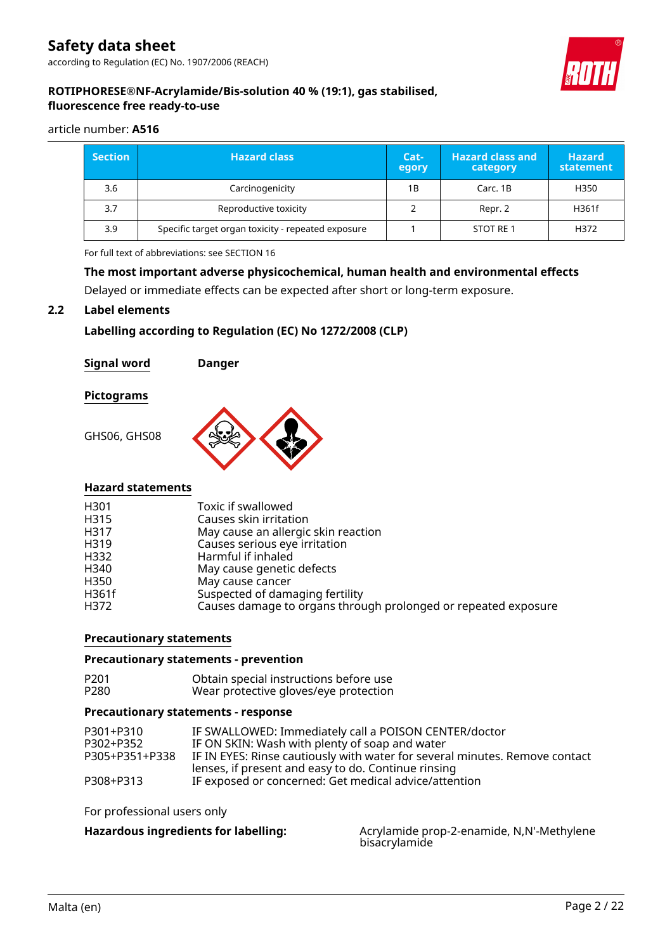

### **ROTIPHORESE®NF-Acrylamide/Bis-solution 40 % (19:1), gas stabilised, fluorescence free ready-to-use**

### article number: **A516**

| <b>Section</b> | <b>Hazard class</b>                                | $Cat-$<br>egory | <b>Hazard class and</b><br>category | <b>Hazard</b><br>statement |
|----------------|----------------------------------------------------|-----------------|-------------------------------------|----------------------------|
| 3.6            | Carcinogenicity                                    | 1B              | Carc. 1B                            | H350                       |
| 3.7            | Reproductive toxicity                              |                 | Repr. 2                             | H361f                      |
| 3.9            | Specific target organ toxicity - repeated exposure |                 | STOT RE 1                           | H372                       |

For full text of abbreviations: see SECTION 16

### **The most important adverse physicochemical, human health and environmental effects**

Delayed or immediate effects can be expected after short or long-term exposure.

### **2.2 Label elements**

### **Labelling according to Regulation (EC) No 1272/2008 (CLP)**

**Signal word Danger**

**Pictograms**

GHS06, GHS08



### **Hazard statements**

| H301  | Toxic if swallowed                                             |
|-------|----------------------------------------------------------------|
| H315  | Causes skin irritation                                         |
| H317  | May cause an allergic skin reaction                            |
| H319  | Causes serious eye irritation                                  |
| H332  | Harmful if inhaled                                             |
| H340  | May cause genetic defects                                      |
| H350  | May cause cancer                                               |
| H361f | Suspected of damaging fertility                                |
| H372  | Causes damage to organs through prolonged or repeated exposure |

### **Precautionary statements**

### **Precautionary statements - prevention**

| P <sub>201</sub> | Obtain special instructions before use |
|------------------|----------------------------------------|
| P280             | Wear protective gloves/eye protection  |

#### **Precautionary statements - response**

| P301+P310      | IF SWALLOWED: Immediately call a POISON CENTER/doctor                       |
|----------------|-----------------------------------------------------------------------------|
| P302+P352      | IF ON SKIN: Wash with plenty of soap and water                              |
| P305+P351+P338 | IF IN EYES: Rinse cautiously with water for several minutes. Remove contact |
|                | lenses, if present and easy to do. Continue rinsing                         |
| P308+P313      | IF exposed or concerned: Get medical advice/attention                       |

For professional users only

Hazardous ingredients for labelling: Acrylamide prop-2-enamide, N,N'-Methylene bisacrylamide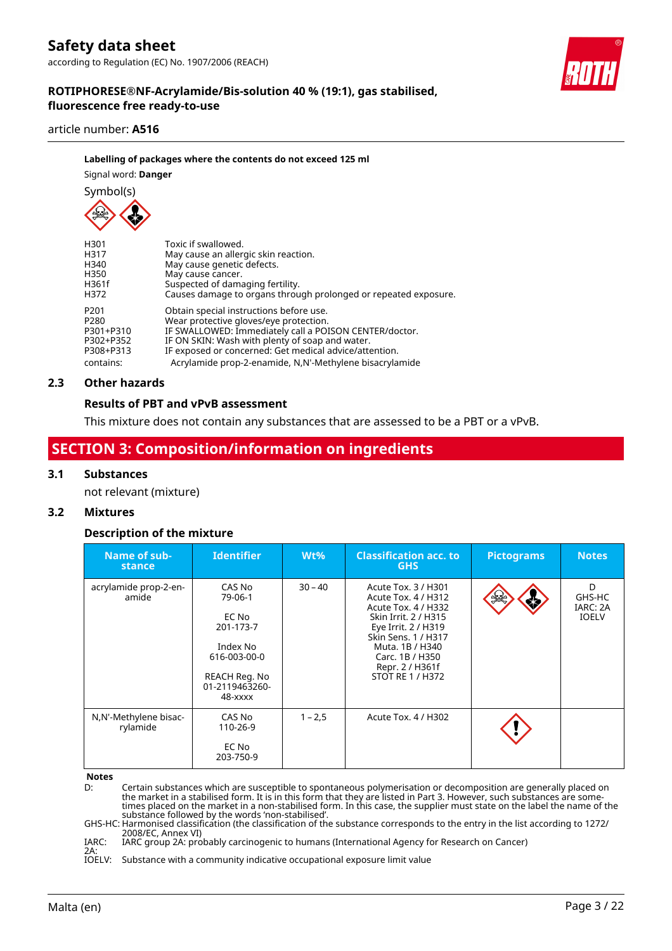#### article number: **A516**

### **Labelling of packages where the contents do not exceed 125 ml**

Signal word: **Danger**

Symbol(s)

| H301      | Toxic if swallowed.                                             |
|-----------|-----------------------------------------------------------------|
| H317      | May cause an allergic skin reaction.                            |
| H340      | May cause genetic defects.                                      |
| H350      | May cause cancer.                                               |
| H361f     | Suspected of damaging fertility.                                |
| H372      | Causes damage to organs through prolonged or repeated exposure. |
| P201      | Obtain special instructions before use.                         |
| P280      | Wear protective gloves/eye protection.                          |
| P301+P310 | IF SWALLOWED: Immediately call a POISON CENTER/doctor.          |
| P302+P352 | IF ON SKIN: Wash with plenty of soap and water.                 |
| P308+P313 | IF exposed or concerned: Get medical advice/attention.          |
| contains: | Acrylamide prop-2-enamide, N,N'-Methylene bisacrylamide         |

### **2.3 Other hazards**

### **Results of PBT and vPvB assessment**

This mixture does not contain any substances that are assessed to be a PBT or a vPvB.

### **SECTION 3: Composition/information on ingredients**

### **3.1 Substances**

not relevant (mixture)

### **3.2 Mixtures**

### **Description of the mixture**

| Name of sub-<br>stance            | <b>Identifier</b>                                                                                                 | $Wt\%$    | <b>Classification acc. to</b><br><b>GHS</b>                                                                                                                                                                                 | <b>Pictograms</b> | <b>Notes</b>                            |
|-----------------------------------|-------------------------------------------------------------------------------------------------------------------|-----------|-----------------------------------------------------------------------------------------------------------------------------------------------------------------------------------------------------------------------------|-------------------|-----------------------------------------|
| acrylamide prop-2-en-<br>amide    | CAS No<br>79-06-1<br>EC No<br>201-173-7<br>Index No<br>616-003-00-0<br>REACH Reg. No<br>01-2119463260-<br>48-xxxx | $30 - 40$ | Acute Tox. 3 / H301<br>Acute Tox. 4 / H312<br>Acute Tox. 4 / H332<br>Skin Irrit. 2 / H315<br>Eye Irrit. 2 / H319<br>Skin Sens, 1 / H317<br>Muta, 1B / H340<br>Carc. 1B / H350<br>Repr. 2 / H361f<br><b>STOT RE 1 / H372</b> | ⋠                 | D<br>GHS-HC<br>IARC: 2A<br><b>IOELV</b> |
| N,N'-Methylene bisac-<br>rylamide | CAS No<br>110-26-9<br>EC No<br>203-750-9                                                                          | $1 - 2.5$ | Acute Tox. 4 / H302                                                                                                                                                                                                         |                   |                                         |

**Notes**

D: Certain substances which are susceptible to spontaneous polymerisation or decomposition are generally placed on the market in a stabilised form. It is in this form that they are listed in Part 3. However, such substances are some-<br>times placed on the market in a non-stabilised form. In this case, the supplier must state on the label

GHS-HC: Harmonised classification (the classification of the substance corresponds to the entry in the list according to 1272/ 2008/EC, Annex VI)

IARC: 2A: IARC group 2A: probably carcinogenic to humans (International Agency for Research on Cancer)

IOELV: Substance with a community indicative occupational exposure limit value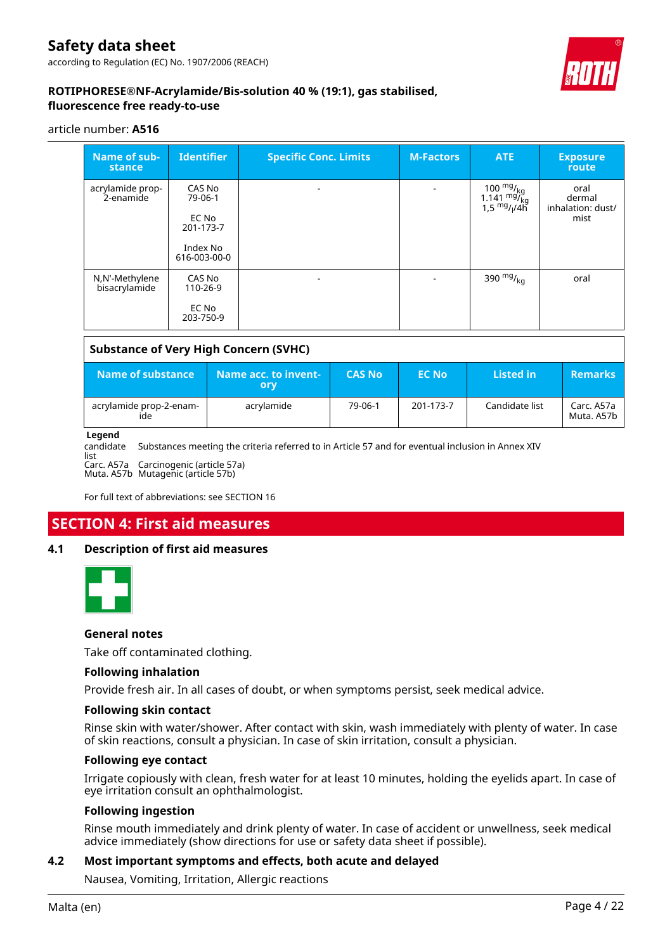

### **ROTIPHORESE®NF-Acrylamide/Bis-solution 40 % (19:1), gas stabilised, fluorescence free ready-to-use**

### article number: **A516**

| Name of sub-<br>stance          | <b>Identifier</b>                                                   | <b>Specific Conc. Limits</b> | <b>M-Factors</b> | <b>ATE</b>                                                             | <b>Exposure</b><br>route                    |
|---------------------------------|---------------------------------------------------------------------|------------------------------|------------------|------------------------------------------------------------------------|---------------------------------------------|
| acrylamide prop-<br>2-enamide   | CAS No<br>79-06-1<br>EC No<br>201-173-7<br>Index No<br>616-003-00-0 | ۰                            | $\blacksquare$   | 100 $\frac{mg}{kg}$<br>1.141 $\frac{mg}{kg}$<br>$1.5 \frac{mg}{l}$ /4h | oral<br>dermal<br>inhalation: dust/<br>mist |
| N,N'-Methylene<br>bisacrylamide | CAS No<br>110-26-9<br>EC No<br>203-750-9                            |                              |                  | 390 $mg/_{kq}$                                                         | oral                                        |

# **Substance of Very High Concern (SVHC) Name of substance Name acc. to invent-**

| Name of substance              | Name acc. to invent-<br>orv | <b>CAS No</b> | <b>EC No</b> | <b>Listed</b> in | <b>Remarks</b>             |
|--------------------------------|-----------------------------|---------------|--------------|------------------|----------------------------|
| acrylamide prop-2-enam-<br>ide | acrylamide                  | 79-06-1       | 201-173-7    | Candidate list   | Carc. A57a<br>Muta. A57b l |

### **Legend**

candidate

Substances meeting the criteria referred to in Article 57 and for eventual inclusion in Annex XIV

list Carc. A57a Carcinogenic (article 57a) Muta. A57b Mutagenic (article 57b)

For full text of abbreviations: see SECTION 16

### **SECTION 4: First aid measures**

### **4.1 Description of first aid measures**



### **General notes**

Take off contaminated clothing.

### **Following inhalation**

Provide fresh air. In all cases of doubt, or when symptoms persist, seek medical advice.

#### **Following skin contact**

Rinse skin with water/shower. After contact with skin, wash immediately with plenty of water. In case of skin reactions, consult a physician. In case of skin irritation, consult a physician.

### **Following eye contact**

Irrigate copiously with clean, fresh water for at least 10 minutes, holding the eyelids apart. In case of eye irritation consult an ophthalmologist.

### **Following ingestion**

Rinse mouth immediately and drink plenty of water. In case of accident or unwellness, seek medical advice immediately (show directions for use or safety data sheet if possible).

### **4.2 Most important symptoms and effects, both acute and delayed**

Nausea, Vomiting, Irritation, Allergic reactions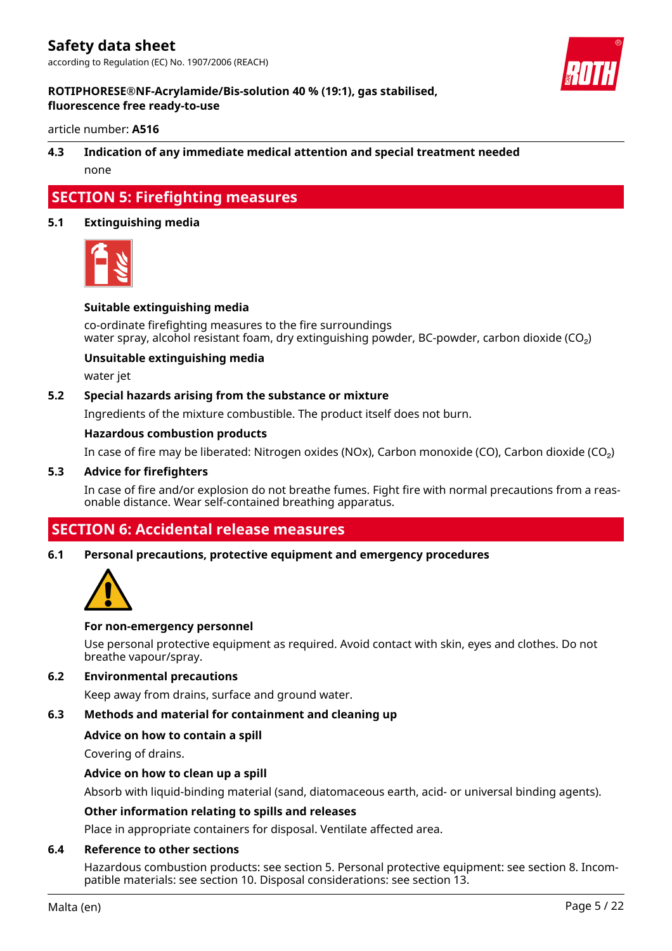

### **ROTIPHORESE®NF-Acrylamide/Bis-solution 40 % (19:1), gas stabilised, fluorescence free ready-to-use**

article number: **A516**

# **4.3 Indication of any immediate medical attention and special treatment needed**

none

### **SECTION 5: Firefighting measures**

### **5.1 Extinguishing media**



### **Suitable extinguishing media**

co-ordinate firefighting measures to the fire surroundings water spray, alcohol resistant foam, dry extinguishing powder, BC-powder, carbon dioxide (CO<sub>2</sub>)

### **Unsuitable extinguishing media**

water jet

### **5.2 Special hazards arising from the substance or mixture**

Ingredients of the mixture combustible. The product itself does not burn.

### **Hazardous combustion products**

In case of fire may be liberated: Nitrogen oxides (NOx), Carbon monoxide (CO), Carbon dioxide (CO₂)

### **5.3 Advice for firefighters**

In case of fire and/or explosion do not breathe fumes. Fight fire with normal precautions from a reasonable distance. Wear self-contained breathing apparatus.

### **SECTION 6: Accidental release measures**

### **6.1 Personal precautions, protective equipment and emergency procedures**



### **For non-emergency personnel**

Use personal protective equipment as required. Avoid contact with skin, eyes and clothes. Do not breathe vapour/spray.

### **6.2 Environmental precautions**

Keep away from drains, surface and ground water.

### **6.3 Methods and material for containment and cleaning up**

### **Advice on how to contain a spill**

Covering of drains.

### **Advice on how to clean up a spill**

Absorb with liquid-binding material (sand, diatomaceous earth, acid- or universal binding agents).

### **Other information relating to spills and releases**

Place in appropriate containers for disposal. Ventilate affected area.

### **6.4 Reference to other sections**

Hazardous combustion products: see section 5. Personal protective equipment: see section 8. Incompatible materials: see section 10. Disposal considerations: see section 13.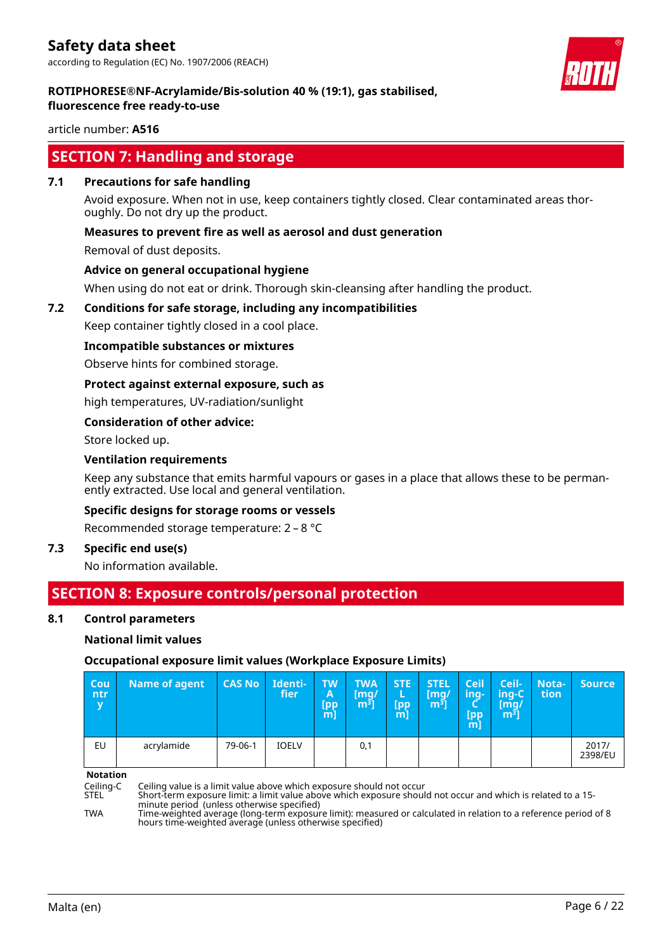

### **ROTIPHORESE®NF-Acrylamide/Bis-solution 40 % (19:1), gas stabilised, fluorescence free ready-to-use**

article number: **A516**

### **SECTION 7: Handling and storage**

### **7.1 Precautions for safe handling**

Avoid exposure. When not in use, keep containers tightly closed. Clear contaminated areas thoroughly. Do not dry up the product.

### **Measures to prevent fire as well as aerosol and dust generation**

Removal of dust deposits.

### **Advice on general occupational hygiene**

When using do not eat or drink. Thorough skin-cleansing after handling the product.

### **7.2 Conditions for safe storage, including any incompatibilities**

Keep container tightly closed in a cool place.

### **Incompatible substances or mixtures**

Observe hints for combined storage.

### **Protect against external exposure, such as**

high temperatures, UV-radiation/sunlight

### **Consideration of other advice:**

Store locked up.

### **Ventilation requirements**

Keep any substance that emits harmful vapours or gases in a place that allows these to be permanently extracted. Use local and general ventilation.

### **Specific designs for storage rooms or vessels**

Recommended storage temperature: 2 – 8 °C

### **7.3 Specific end use(s)**

No information available.

### **SECTION 8: Exposure controls/personal protection**

### **8.1 Control parameters**

### **National limit values**

### **Occupational exposure limit values (Workplace Exposure Limits)**

| Cou<br>ntr<br>$\mathbf{v}$ | Name of agent | <b>CAS No</b> | Identi-<br>fier | TW<br>Α<br><b>Lpp</b><br>m | <b>TWA</b><br>[mg/<br>m <sup>3</sup> | <b>STE</b><br>(pp)<br>m | <b>STEL</b><br>[mg/<br>m <sup>3</sup> | Ceil<br>ing-<br>∽<br><b>Tpp</b><br>$m$ ] | Ceil-<br>ing-C<br>/[mq<br>m <sup>3</sup> | <b>Nota-</b><br>tion | <b>Source</b>    |
|----------------------------|---------------|---------------|-----------------|----------------------------|--------------------------------------|-------------------------|---------------------------------------|------------------------------------------|------------------------------------------|----------------------|------------------|
| EU                         | acrylamide    | 79-06-1       | <b>IOELV</b>    |                            | 0,1                                  |                         |                                       |                                          |                                          |                      | 2017/<br>2398/EU |

**Notation**

Ceiling-C Ceiling value is a limit value above which exposure should not occur

STEL Short-term exposure limit: a limit value above which exposure should not occur and which is related to a 15 minute period (unless otherwise specified)

TWA Time-weighted average (long-term exposure limit): measured or calculated in relation to a reference period of 8 hours time-weighted average (unless otherwise specified)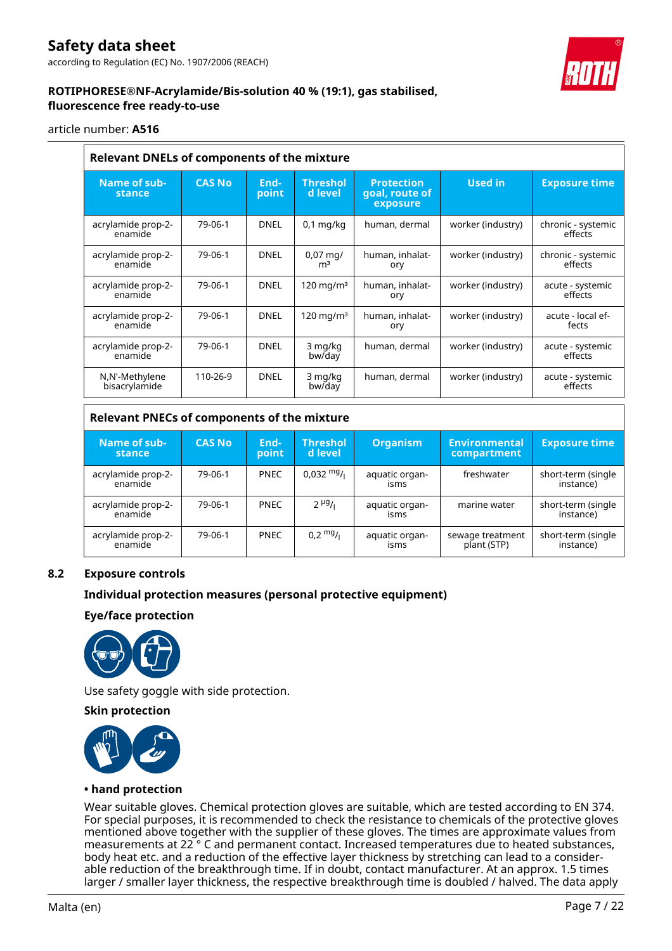

### **ROTIPHORESE®NF-Acrylamide/Bis-solution 40 % (19:1), gas stabilised, fluorescence free ready-to-use**

### article number: **A516**

| <b>Relevant DNELs of components of the mixture</b> |               |               |                                        |                                                 |                   |                               |  |  |  |  |
|----------------------------------------------------|---------------|---------------|----------------------------------------|-------------------------------------------------|-------------------|-------------------------------|--|--|--|--|
| Name of sub-<br>stance                             | <b>CAS No</b> | End-<br>point | <b>Threshol</b><br>d level             | <b>Protection</b><br>goal, route of<br>exposure | Used in           | <b>Exposure time</b>          |  |  |  |  |
| acrylamide prop-2-<br>enamide                      | 79-06-1       | <b>DNEL</b>   | $0,1$ mg/kg                            | human, dermal                                   | worker (industry) | chronic - systemic<br>effects |  |  |  |  |
| acrylamide prop-2-<br>enamide                      | 79-06-1       | <b>DNEL</b>   | $0.07 \,\mathrm{mq}$<br>m <sup>3</sup> | human, inhalat-<br>ory                          | worker (industry) | chronic - systemic<br>effects |  |  |  |  |
| acrylamide prop-2-<br>enamide                      | 79-06-1       | <b>DNEL</b>   | $120 \text{ mg/m}^3$                   | human, inhalat-<br>ory                          | worker (industry) | acute - systemic<br>effects   |  |  |  |  |
| acrylamide prop-2-<br>enamide                      | 79-06-1       | <b>DNEL</b>   | $120 \text{ mg/m}^3$                   | human, inhalat-<br>ory                          | worker (industry) | acute - local ef-<br>fects    |  |  |  |  |
| acrylamide prop-2-<br>enamide                      | 79-06-1       | <b>DNEL</b>   | 3 mg/kg<br>bw/day                      | human, dermal                                   | worker (industry) | acute - systemic<br>effects   |  |  |  |  |
| N,N'-Methylene<br>bisacrylamide                    | 110-26-9      | <b>DNEL</b>   | 3 mg/kg<br>bw/day                      | human, dermal                                   | worker (industry) | acute - systemic<br>effects   |  |  |  |  |

### **Relevant PNECs of components of the mixture**

| Name of sub-<br>stance        | <b>CAS No</b> | End-<br>point | <b>Threshol</b><br>d level | <b>Organism</b>        | <b>Environmental</b><br>compartment | <b>Exposure time</b>            |
|-------------------------------|---------------|---------------|----------------------------|------------------------|-------------------------------------|---------------------------------|
| acrylamide prop-2-<br>enamide | 79-06-1       | <b>PNEC</b>   | $0,032 \frac{mg}{l}$       | aquatic organ-<br>isms | freshwater                          | short-term (single<br>instance) |
| acrylamide prop-2-<br>enamide | 79-06-1       | <b>PNEC</b>   | $2 \mu g_{1}$              | aquatic organ-<br>isms | marine water                        | short-term (single<br>instance) |
| acrylamide prop-2-<br>enamide | 79-06-1       | <b>PNEC</b>   | $0.2 \frac{mg}{L}$         | aquatic organ-<br>isms | sewage treatment<br>plant (STP)     | short-term (single<br>instance) |

### **8.2 Exposure controls**

### **Individual protection measures (personal protective equipment)**

**Eye/face protection**



Use safety goggle with side protection.

### **Skin protection**



### **• hand protection**

Wear suitable gloves. Chemical protection gloves are suitable, which are tested according to EN 374. For special purposes, it is recommended to check the resistance to chemicals of the protective gloves mentioned above together with the supplier of these gloves. The times are approximate values from measurements at 22 ° C and permanent contact. Increased temperatures due to heated substances, body heat etc. and a reduction of the effective layer thickness by stretching can lead to a considerable reduction of the breakthrough time. If in doubt, contact manufacturer. At an approx. 1.5 times larger / smaller layer thickness, the respective breakthrough time is doubled / halved. The data apply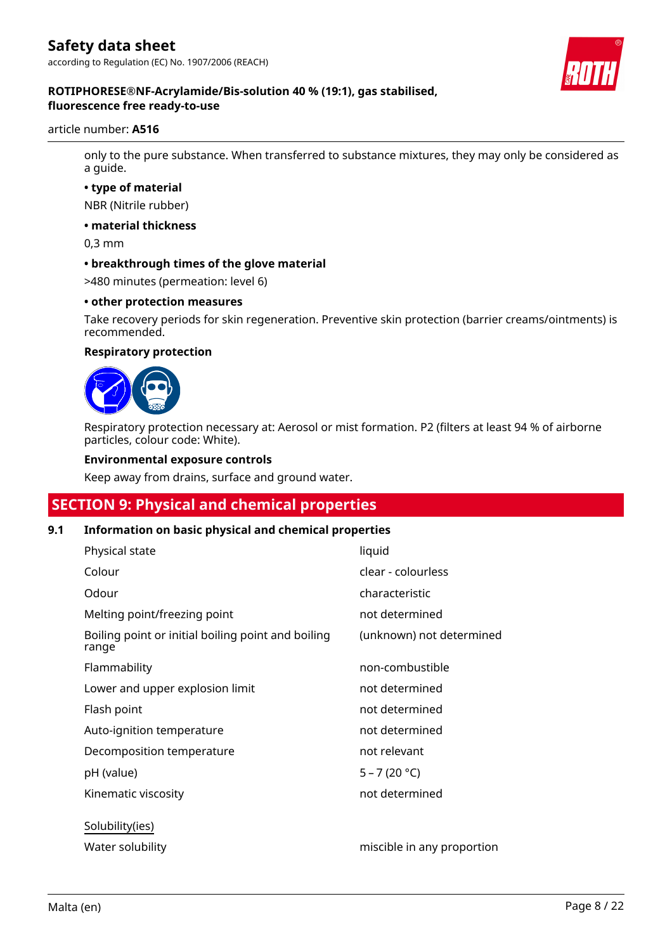

### **ROTIPHORESE®NF-Acrylamide/Bis-solution 40 % (19:1), gas stabilised, fluorescence free ready-to-use**

### article number: **A516**

only to the pure substance. When transferred to substance mixtures, they may only be considered as a guide.

### **• type of material**

NBR (Nitrile rubber)

#### **• material thickness**

0,3 mm

### **• breakthrough times of the glove material**

>480 minutes (permeation: level 6)

### **• other protection measures**

Take recovery periods for skin regeneration. Preventive skin protection (barrier creams/ointments) is recommended.

### **Respiratory protection**



Respiratory protection necessary at: Aerosol or mist formation. P2 (filters at least 94 % of airborne particles, colour code: White).

### **Environmental exposure controls**

Keep away from drains, surface and ground water.

### **SECTION 9: Physical and chemical properties**

### **9.1 Information on basic physical and chemical properties**

| Physical state                                              | liquid                     |
|-------------------------------------------------------------|----------------------------|
| Colour                                                      | clear - colourless         |
| Odour                                                       | characteristic             |
| Melting point/freezing point                                | not determined             |
| Boiling point or initial boiling point and boiling<br>range | (unknown) not determined   |
| Flammability                                                | non-combustible            |
| Lower and upper explosion limit                             | not determined             |
| Flash point                                                 | not determined             |
| Auto-ignition temperature                                   | not determined             |
| Decomposition temperature                                   | not relevant               |
| pH (value)                                                  | $5 - 7(20 °C)$             |
| Kinematic viscosity                                         | not determined             |
| Solubility(ies)                                             |                            |
| Water solubility                                            | miscible in any proportion |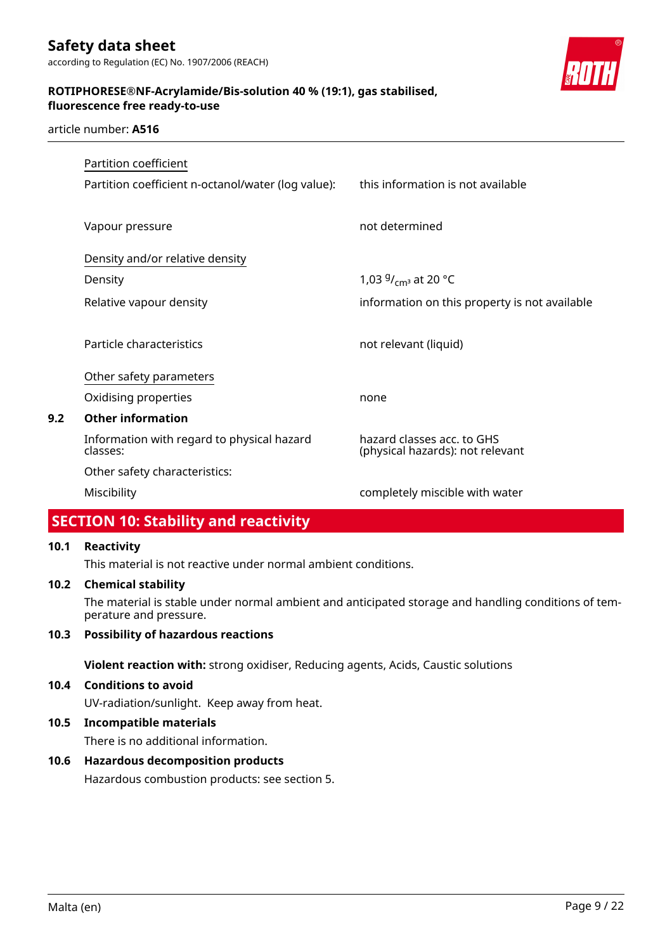

### article number: **A516**

|     | Partition coefficient                                  |                                                                |
|-----|--------------------------------------------------------|----------------------------------------------------------------|
|     | Partition coefficient n-octanol/water (log value):     | this information is not available                              |
|     | Vapour pressure                                        | not determined                                                 |
|     | Density and/or relative density                        |                                                                |
|     | Density                                                | 1,03 $9/_{cm^3}$ at 20 °C                                      |
|     | Relative vapour density                                | information on this property is not available                  |
|     | Particle characteristics                               | not relevant (liquid)                                          |
|     | Other safety parameters                                |                                                                |
|     | Oxidising properties                                   | none                                                           |
| 9.2 | <b>Other information</b>                               |                                                                |
|     | Information with regard to physical hazard<br>classes: | hazard classes acc. to GHS<br>(physical hazards): not relevant |
|     | Other safety characteristics:                          |                                                                |
|     | Miscibility                                            | completely miscible with water                                 |

### **SECTION 10: Stability and reactivity**

### **10.1 Reactivity**

This material is not reactive under normal ambient conditions.

### **10.2 Chemical stability**

The material is stable under normal ambient and anticipated storage and handling conditions of temperature and pressure.

### **10.3 Possibility of hazardous reactions**

**Violent reaction with:** strong oxidiser, Reducing agents, Acids, Caustic solutions

### **10.4 Conditions to avoid**

UV-radiation/sunlight. Keep away from heat.

### **10.5 Incompatible materials**

There is no additional information.

### **10.6 Hazardous decomposition products**

Hazardous combustion products: see section 5.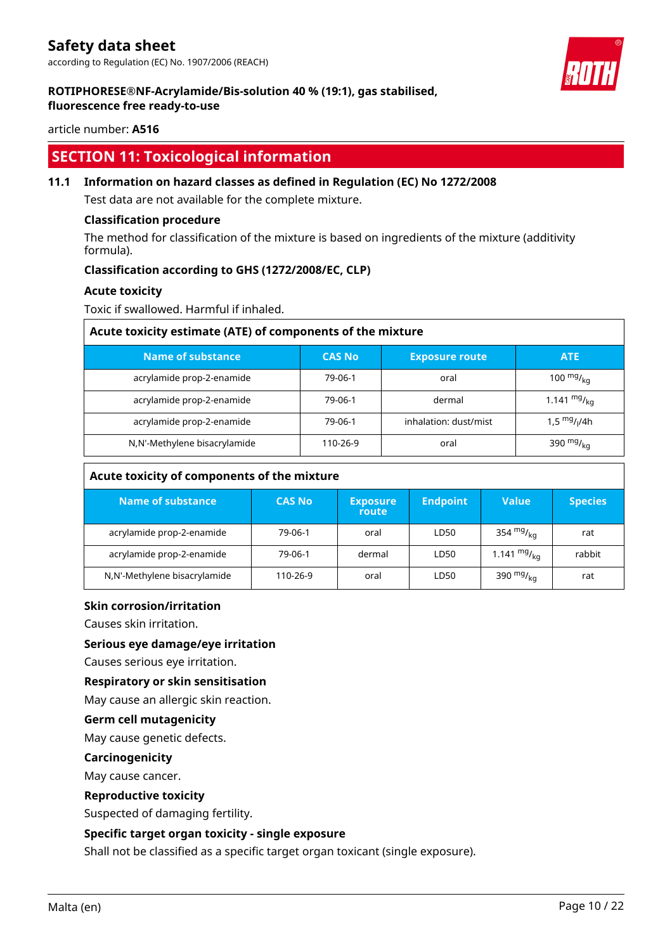### **ROTIPHORESE®NF-Acrylamide/Bis-solution 40 % (19:1), gas stabilised, fluorescence free ready-to-use**

article number: **A516**

### **SECTION 11: Toxicological information**

### **11.1 Information on hazard classes as defined in Regulation (EC) No 1272/2008**

Test data are not available for the complete mixture.

### **Classification procedure**

The method for classification of the mixture is based on ingredients of the mixture (additivity formula).

### **Classification according to GHS (1272/2008/EC, CLP)**

### **Acute toxicity**

Toxic if swallowed. Harmful if inhaled.

| Acute toxicity estimate (ATE) of components of the mixture |               |                       |                  |  |  |
|------------------------------------------------------------|---------------|-----------------------|------------------|--|--|
| Name of substance                                          | <b>CAS No</b> | <b>Exposure route</b> | <b>ATE</b>       |  |  |
| acrylamide prop-2-enamide                                  | 79-06-1       | oral                  | 100 $mg/_{ka}$   |  |  |
| acrylamide prop-2-enamide                                  | 79-06-1       | dermal                | 1.141 $mg/_{kq}$ |  |  |
| acrylamide prop-2-enamide                                  | 79-06-1       | inhalation: dust/mist | 1.5 $mg/1/4h$    |  |  |
| N,N'-Methylene bisacrylamide                               | 110-26-9      | oral                  | 390 $mg/_{ka}$   |  |  |

| Acute toxicity of components of the mixture |               |                          |                 |                  |                |  |
|---------------------------------------------|---------------|--------------------------|-----------------|------------------|----------------|--|
| Name of substance                           | <b>CAS No</b> | <b>Exposure</b><br>route | <b>Endpoint</b> | <b>Value</b>     | <b>Species</b> |  |
| acrylamide prop-2-enamide                   | 79-06-1       | oral                     | LD50            | 354 $mg/kq$      | rat            |  |
| acrylamide prop-2-enamide                   | 79-06-1       | dermal                   | LD50            | 1.141 $mg/_{kq}$ | rabbit         |  |
| N,N'-Methylene bisacrylamide                | 110-26-9      | oral                     | LD50            | 390 $mg/_{kq}$   | rat            |  |

### **Skin corrosion/irritation**

Causes skin irritation.

### **Serious eye damage/eye irritation**

Causes serious eye irritation.

### **Respiratory or skin sensitisation**

May cause an allergic skin reaction.

### **Germ cell mutagenicity**

May cause genetic defects.

### **Carcinogenicity**

May cause cancer.

### **Reproductive toxicity**

Suspected of damaging fertility.

### **Specific target organ toxicity - single exposure**

Shall not be classified as a specific target organ toxicant (single exposure).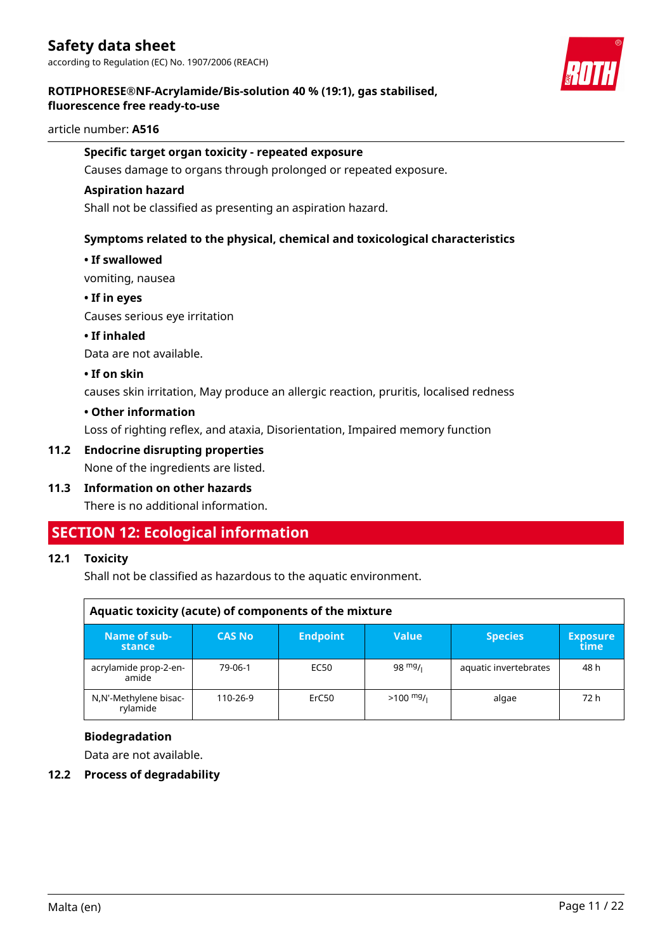

### **ROTIPHORESE®NF-Acrylamide/Bis-solution 40 % (19:1), gas stabilised, fluorescence free ready-to-use**

### article number: **A516**

### **Specific target organ toxicity - repeated exposure**

Causes damage to organs through prolonged or repeated exposure.

### **Aspiration hazard**

Shall not be classified as presenting an aspiration hazard.

### **Symptoms related to the physical, chemical and toxicological characteristics**

### **• If swallowed**

vomiting, nausea

### **• If in eyes**

Causes serious eye irritation

### **• If inhaled**

Data are not available.

### **• If on skin**

causes skin irritation, May produce an allergic reaction, pruritis, localised redness

### **• Other information**

Loss of righting reflex, and ataxia, Disorientation, Impaired memory function

### **11.2 Endocrine disrupting properties**

None of the ingredients are listed.

### **11.3 Information on other hazards**

There is no additional information.

### **SECTION 12: Ecological information**

### **12.1 Toxicity**

Shall not be classified as hazardous to the aquatic environment.

| Aquatic toxicity (acute) of components of the mixture |               |                 |                     |                       |                         |  |
|-------------------------------------------------------|---------------|-----------------|---------------------|-----------------------|-------------------------|--|
| Name of sub-<br>stance                                | <b>CAS No</b> | <b>Endpoint</b> | <b>Value</b>        | <b>Species</b>        | <b>Exposure</b><br>time |  |
| acrylamide prop-2-en-<br>amide                        | 79-06-1       | EC50            | 98 $mg/1$           | aquatic invertebrates | 48 h                    |  |
| N,N'-Methylene bisac-<br>rylamide                     | 110-26-9      | ErC50           | $>100 \frac{mg}{l}$ | algae                 | 72 h                    |  |

### **Biodegradation**

Data are not available.

### **12.2 Process of degradability**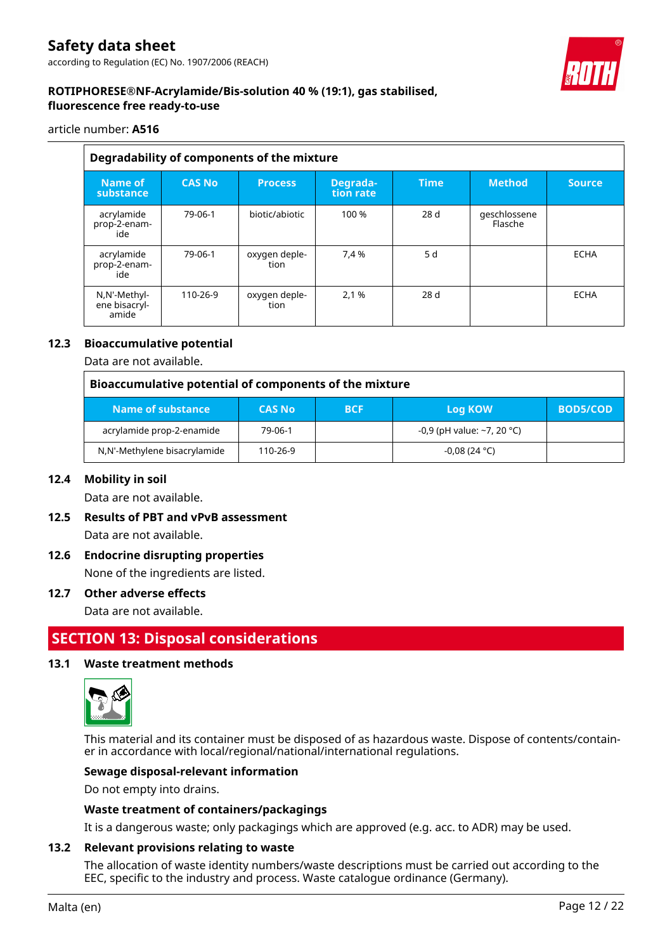### article number: **A516**

|                                        | Degradability of components of the mixture |                       |                       |             |                         |               |  |  |
|----------------------------------------|--------------------------------------------|-----------------------|-----------------------|-------------|-------------------------|---------------|--|--|
| Name of<br>substance                   | <b>CAS No</b>                              | <b>Process</b>        | Degrada-<br>tion rate | <b>Time</b> | <b>Method</b>           | <b>Source</b> |  |  |
| acrylamide<br>prop-2-enam-<br>ide      | 79-06-1                                    | biotic/abiotic        | 100 %                 | 28 d        | geschlossene<br>Flasche |               |  |  |
| acrylamide<br>prop-2-enam-<br>ide      | 79-06-1                                    | oxygen deple-<br>tion | 7.4 %                 | 5 d         |                         | <b>ECHA</b>   |  |  |
| N,N'-Methyl-<br>ene bisacryl-<br>amide | 110-26-9                                   | oxygen deple-<br>tion | 2,1 %                 | 28d         |                         | <b>ECHA</b>   |  |  |

### **12.3 Bioaccumulative potential**

Data are not available.

| Bioaccumulative potential of components of the mixture |               |            |                              |                 |  |
|--------------------------------------------------------|---------------|------------|------------------------------|-----------------|--|
| Name of substance                                      | <b>CAS No</b> | <b>BCF</b> | Log KOW                      | <b>BOD5/COD</b> |  |
| acrylamide prop-2-enamide                              | 79-06-1       |            | $-0.9$ (pH value: ~7, 20 °C) |                 |  |
| N,N'-Methylene bisacrylamide                           | 110-26-9      |            | $-0.08(24 °C)$               |                 |  |

### **12.4 Mobility in soil**

Data are not available.

- **12.5 Results of PBT and vPvB assessment** Data are not available.
- **12.6 Endocrine disrupting properties** None of the ingredients are listed.

### **12.7 Other adverse effects**

Data are not available.

### **SECTION 13: Disposal considerations**

### **13.1 Waste treatment methods**



This material and its container must be disposed of as hazardous waste. Dispose of contents/container in accordance with local/regional/national/international regulations.

### **Sewage disposal-relevant information**

Do not empty into drains.

### **Waste treatment of containers/packagings**

It is a dangerous waste; only packagings which are approved (e.g. acc. to ADR) may be used.

### **13.2 Relevant provisions relating to waste**

The allocation of waste identity numbers/waste descriptions must be carried out according to the EEC, specific to the industry and process. Waste catalogue ordinance (Germany).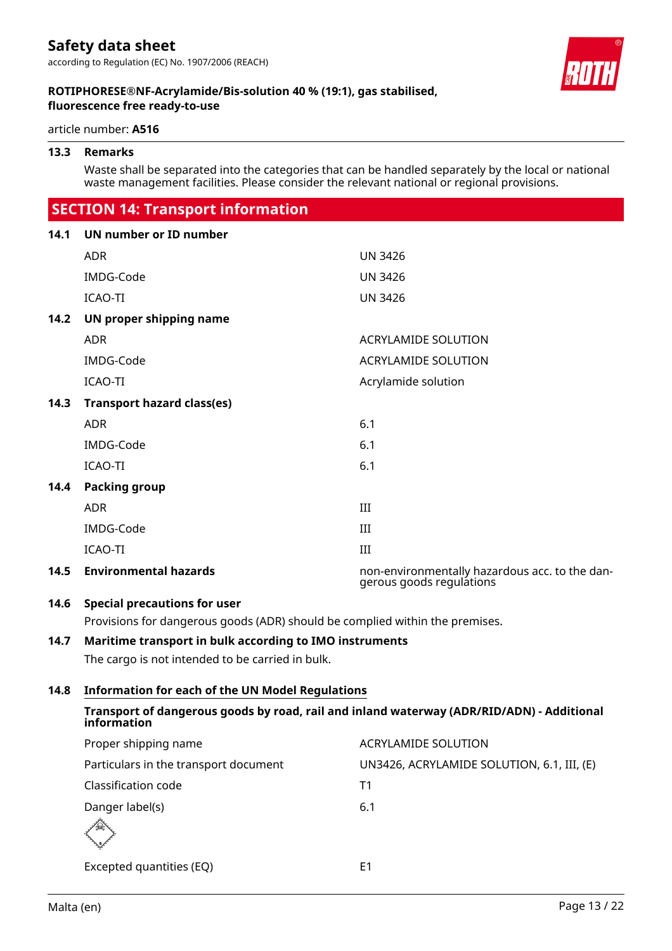article number: **A516**

### **13.3 Remarks**

Waste shall be separated into the categories that can be handled separately by the local or national waste management facilities. Please consider the relevant national or regional provisions.

### **SECTION 14: Transport information**

| 14.1 | UN number or ID number                                                                                   |                                                                            |
|------|----------------------------------------------------------------------------------------------------------|----------------------------------------------------------------------------|
|      | <b>ADR</b>                                                                                               | <b>UN 3426</b>                                                             |
|      | IMDG-Code                                                                                                | <b>UN 3426</b>                                                             |
|      | ICAO-TI                                                                                                  | <b>UN 3426</b>                                                             |
| 14.2 | UN proper shipping name                                                                                  |                                                                            |
|      | <b>ADR</b>                                                                                               | <b>ACRYLAMIDE SOLUTION</b>                                                 |
|      | <b>IMDG-Code</b>                                                                                         | <b>ACRYLAMIDE SOLUTION</b>                                                 |
|      | ICAO-TI                                                                                                  | Acrylamide solution                                                        |
| 14.3 | <b>Transport hazard class(es)</b>                                                                        |                                                                            |
|      | <b>ADR</b>                                                                                               | 6.1                                                                        |
|      | IMDG-Code                                                                                                | 6.1                                                                        |
|      | ICAO-TI                                                                                                  | 6.1                                                                        |
| 14.4 | <b>Packing group</b>                                                                                     |                                                                            |
|      | <b>ADR</b>                                                                                               | III                                                                        |
|      | IMDG-Code                                                                                                | III                                                                        |
|      | <b>ICAO-TI</b>                                                                                           | III                                                                        |
| 14.5 | <b>Environmental hazards</b>                                                                             | non-environmentally hazardous acc. to the dan-<br>gerous goods regulations |
| 14.6 | <b>Special precautions for user</b>                                                                      |                                                                            |
|      | Provisions for dangerous goods (ADR) should be complied within the premises.                             |                                                                            |
| 14.7 | Maritime transport in bulk according to IMO instruments                                                  |                                                                            |
|      | The cargo is not intended to be carried in bulk.                                                         |                                                                            |
| 14.8 | <b>Information for each of the UN Model Regulations</b>                                                  |                                                                            |
|      | Transport of dangerous goods by road, rail and inland waterway (ADR/RID/ADN) - Additional<br>information |                                                                            |
|      | Proper shipping name                                                                                     | <b>ACRYLAMIDE SOLUTION</b>                                                 |
|      | Particulars in the transport document                                                                    | UN3426, ACRYLAMIDE SOLUTION, 6.1, III, (E)                                 |

Malta (en) Page 13 / 22

Classification code T1 Danger label(s) 6.1

Excepted quantities (EQ) E1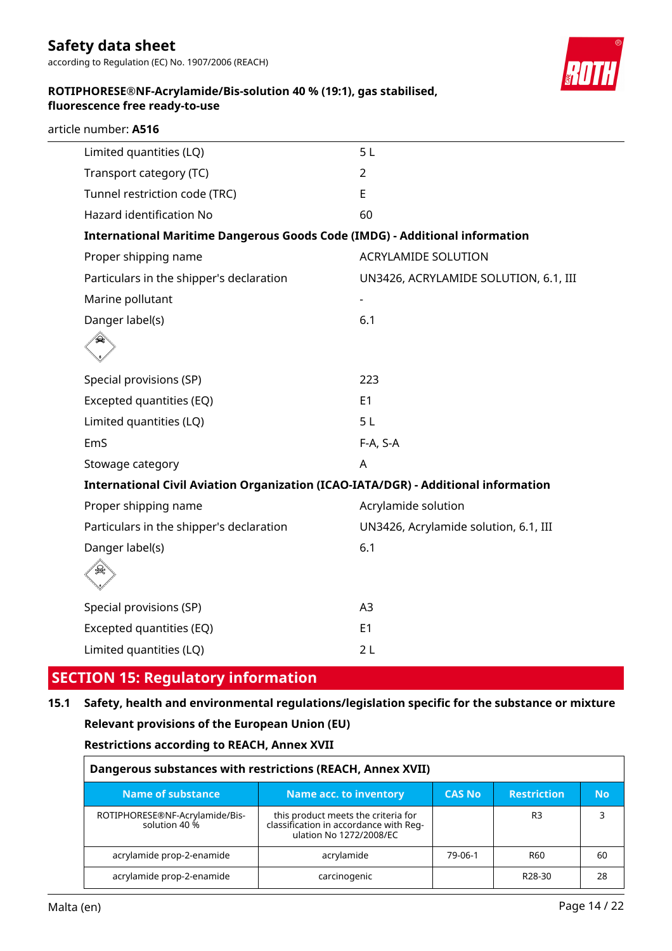## **Safety data sheet**

according to Regulation (EC) No. 1907/2006 (REACH)



### **ROTIPHORESE®NF-Acrylamide/Bis-solution 40 % (19:1), gas stabilised, fluorescence free ready-to-use**

|  |  | article number: A516 |  |
|--|--|----------------------|--|
|--|--|----------------------|--|

| Limited quantities (LQ)                                                            | 5L                                    |
|------------------------------------------------------------------------------------|---------------------------------------|
| Transport category (TC)                                                            | $\overline{2}$                        |
| Tunnel restriction code (TRC)                                                      | E                                     |
| Hazard identification No                                                           | 60                                    |
| <b>International Maritime Dangerous Goods Code (IMDG) - Additional information</b> |                                       |
| Proper shipping name                                                               | <b>ACRYLAMIDE SOLUTION</b>            |
| Particulars in the shipper's declaration                                           | UN3426, ACRYLAMIDE SOLUTION, 6.1, III |
| Marine pollutant                                                                   |                                       |
| Danger label(s)                                                                    | 6.1                                   |
|                                                                                    |                                       |
|                                                                                    |                                       |
| Special provisions (SP)                                                            | 223                                   |
| Excepted quantities (EQ)                                                           | E <sub>1</sub>                        |
| Limited quantities (LQ)                                                            | 5L                                    |
| EmS                                                                                | F-A, S-A                              |
| Stowage category                                                                   | A                                     |
| International Civil Aviation Organization (ICAO-IATA/DGR) - Additional information |                                       |
| Proper shipping name                                                               | Acrylamide solution                   |
| Particulars in the shipper's declaration                                           | UN3426, Acrylamide solution, 6.1, III |
| Danger label(s)                                                                    | 6.1                                   |
|                                                                                    |                                       |
| Special provisions (SP)                                                            | A <sub>3</sub>                        |
| Excepted quantities (EQ)                                                           | E <sub>1</sub>                        |
| Limited quantities (LQ)                                                            | 2L                                    |
|                                                                                    |                                       |

### **SECTION 15: Regulatory information**

## **15.1 Safety, health and environmental regulations/legislation specific for the substance or mixture Relevant provisions of the European Union (EU)**

### **Restrictions according to REACH, Annex XVII**

| Dangerous substances with restrictions (REACH, Annex XVII) |                                                                                                          |               |                     |           |
|------------------------------------------------------------|----------------------------------------------------------------------------------------------------------|---------------|---------------------|-----------|
| Name of substance                                          | Name acc. to inventory                                                                                   | <b>CAS No</b> | <b>Restriction</b>  | <b>No</b> |
| ROTIPHORESE®NF-Acrylamide/Bis-<br>solution 40 %            | this product meets the criteria for<br>classification in accordance with Reg-<br>ulation No 1272/2008/EC |               | R <sub>3</sub>      | 3         |
| acrylamide prop-2-enamide                                  | acrylamide                                                                                               | 79-06-1       | R60                 | 60        |
| acrylamide prop-2-enamide                                  | carcinogenic                                                                                             |               | R <sub>28</sub> -30 | 28        |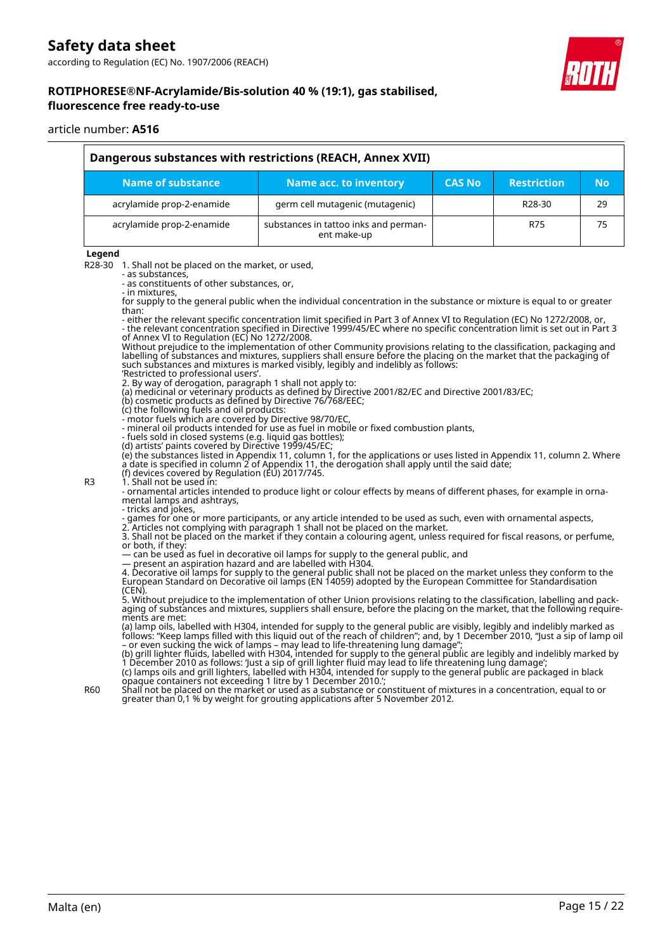

### **ROTIPHORESE®NF-Acrylamide/Bis-solution 40 % (19:1), gas stabilised, fluorescence free ready-to-use**

#### article number: **A516**

| Dangerous substances with restrictions (REACH, Annex XVII) |                                                      |               |                     |           |
|------------------------------------------------------------|------------------------------------------------------|---------------|---------------------|-----------|
| Name of substance                                          | Name acc. to inventory                               | <b>CAS No</b> | <b>Restriction</b>  | <b>No</b> |
| acrylamide prop-2-enamide                                  | germ cell mutagenic (mutagenic)                      |               | R <sub>28</sub> -30 | 29        |
| acrylamide prop-2-enamide                                  | substances in tattoo inks and perman-<br>ent make-up |               | R75                 | 75        |

#### **Legend**

R28-30 1. Shall not be placed on the market, or used,

- as substances,
- as constituents of other substances, or, - in mixtures,

for supply to the general public when the individual concentration in the substance or mixture is equal to or greater than:

- either the relevant specific concentration limit specified in Part 3 of Annex VI to Regulation (EC) No 1272/2008, or, - the relevant concentration specified in Directive 1999/45/EC where no specific concentration limit is set out in Part 3 of Annex VI to Regulation (EC) No 1272/2008.

Without prejudice to the implementation of other Community provisions relating to the classification, packaging and labelling of substances and mixtures, suppliers shall ensure before the placing on the market that the packaging of such substances and mixtures is marked visibly, legibly and indelibly as follows:

'Restricted to professional users'.

2. By way of derogation, paragraph 1 shall not apply to: (a) medicinal or veterinary products as defined by Directive 2001/82/EC and Directive 2001/83/EC;

(b) cosmetic products as defined by Directive 76/768/EEC;

(c) the following fuels and oil products:

- motor fuels which are covered by Directive 98/70/EC,

- mineral oil products intended for use as fuel in mobile or fixed combustion plants,

- fuels sold in closed systems (e.g. liquid gas bottles);

(d) artists' paints covered by Directive 1999/45/EC;

(e) the substances listed in Appendix 11, column 1, for the applications or uses listed in Appendix 11, column 2. Where a date is specified in column 2 of Appendix 11, the derogation shall apply until the said date;

(f) devices covered by Regulation (EU) 2017/745. R3 1. Shall not be used in:

- ornamental articles intended to produce light or colour effects by means of different phases, for example in ornamental lamps and ashtrays,

- tricks and jokes, - games for one or more participants, or any article intended to be used as such, even with ornamental aspects,

2. Articles not complying with paragraph 1 shall not be placed on the market. 3. Shall not be placed on the market if they contain a colouring agent, unless required for fiscal reasons, or perfume,

or both, if they:

— can be used as fuel in decorative oil lamps for supply to the general public, and

— present an aspiration hazard and are labelled with H304.

4. Decorative oil lamps for supply to the general public shall not be placed on the market unless they conform to the European Standard on Decorative oil lamps (EN 14059) adopted by the European Committee for Standardisation (CEN).

5. Without prejudice to the implementation of other Union provisions relating to the classification, labelling and packaging of substances and mixtures, suppliers shall ensure, before the placing on the market, that the following requirements are met:

(a) lamp oils, labelled with H304, intended for supply to the general public are visibly, legibly and indelibly marked as follows: "Keep lamps filled with this liquid out of the reach of children"; and, by 1 December 2010, "Just a sip of lamp oil – or even sucking the wick of lamps – may lead to life-threatening lung damage";

(b) grill lighter fluids, labelled with H304, intended for supply to the general public are legibly and indelibly marked by 1 December 2010 as follows: 'Just a sip of grill lighter fluid may lead to life threatening lung damage'; (c) lamps oils and grill lighters, labelled with H304, intended for supply to the general public are packaged in black

opaque containers not exceeding 1 litre by 1 December 2010.'; R60 Shall not be placed on the market or used as a substance or constituent of mixtures in a concentration, equal to or greater than 0,1 % by weight for grouting applications after 5 November 2012.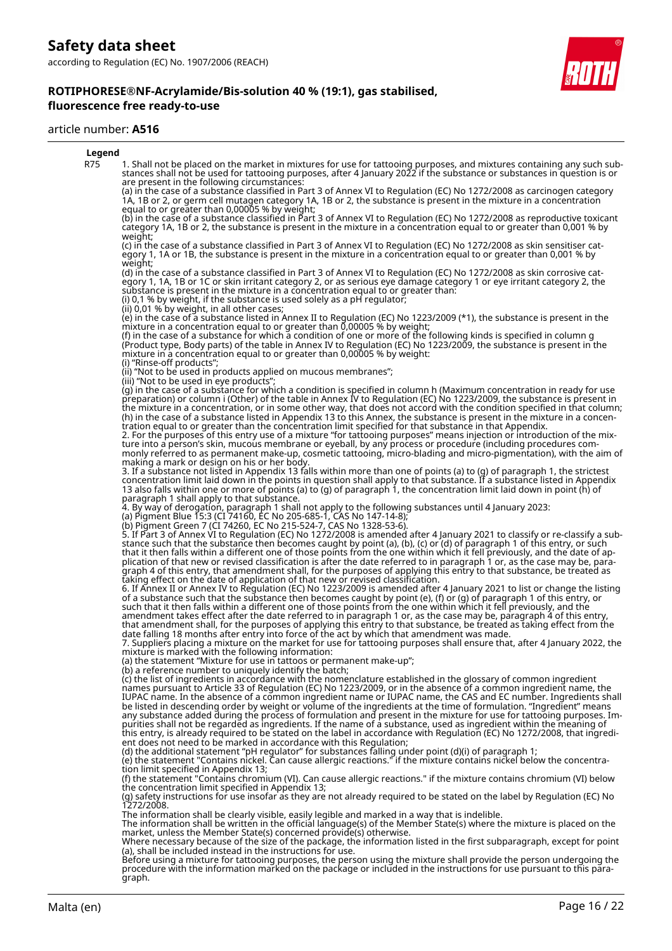#### article number: **A516**



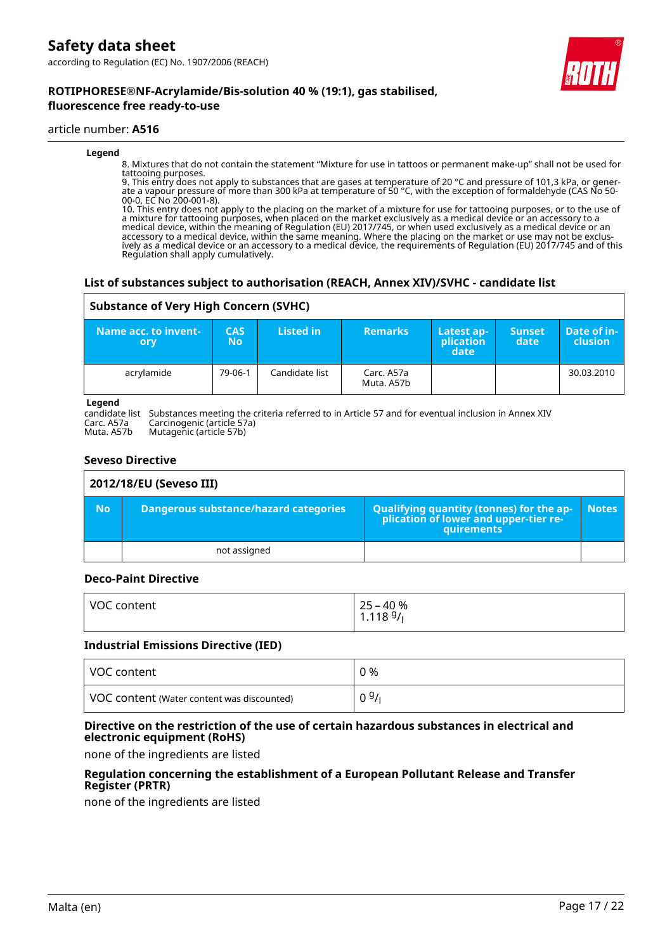**ROTIPHORESE®NF-Acrylamide/Bis-solution 40 % (19:1), gas stabilised,**



### article number: **A516**

#### **Legend**

8. Mixtures that do not contain the statement "Mixture for use in tattoos or permanent make-up" shall not be used for tattooing purposes.

9. This entry does not apply to substances that are gases at temperature of 20 °C and pressure of 101,3 kPa, or generate a vapour pressure of more than 300 kPa at temperature of 50 °C, with the exception of formaldehyde (CAS No 50- 00-0, EC No 200-001-8).

10. This entry does not apply to the placing on the market of a mixture for use for tattooing purposes, or to the use of a mixture for tattooing purposes, when placed on the market exclusively as a medical device or an accessory to a medical device, within the meaning of Regulation (EU) 2017/745, or when used exclusively as a medical device or an accessory to a medical device, within the same meaning. Where the placing on the market or use may not be exclusively as a medical device or an accessory to a medical device, the requirements of Regulation (EU) 2017/745 and of this Regulation shall apply cumulatively.

### **List of substances subject to authorisation (REACH, Annex XIV)/SVHC - candidate list**

### **Substance of Very High Concern (SVHC)**

| ا -Name acc. to invent<br>ory | <b>CAS</b><br>No | Listed in      | <b>Remarks</b>           | Latest ap-<br>plication<br>date | <b>Sunset</b><br>date | Date of in-<br><b>clusion</b> |
|-------------------------------|------------------|----------------|--------------------------|---------------------------------|-----------------------|-------------------------------|
| acrylamide                    | 79-06-1          | Candidate list | Carc. A57a<br>Muta. A57b |                                 |                       | 30.03.2010                    |

#### **Legend**

candidate list Substances meeting the criteria referred to in Article 57 and for eventual inclusion in Annex XIV Carc. A57a Carcinogenic (article 57a)

Muta. A57b Mutagenic (article 57b)

### **Seveso Directive**

|           | 2012/18/EU (Seveso III)                      |                                                                                                 |              |  |  |  |
|-----------|----------------------------------------------|-------------------------------------------------------------------------------------------------|--------------|--|--|--|
| <b>No</b> | <b>Dangerous substance/hazard categories</b> | Qualifying quantity (tonnes) for the ap-<br>plication of lower and upper-tier re-<br>quirements | <b>Notes</b> |  |  |  |
|           | not assigned                                 |                                                                                                 |              |  |  |  |

### **Deco-Paint Directive**

| VOC content | 25 – 40 %<br>1.118 <sup>g</sup> / <sub>l</sub> |
|-------------|------------------------------------------------|
|             |                                                |

#### **Industrial Emissions Directive (IED)**

| VOC content                                | 0 %  |
|--------------------------------------------|------|
| VOC content (Water content was discounted) | 09/1 |

### **Directive on the restriction of the use of certain hazardous substances in electrical and electronic equipment (RoHS)**

none of the ingredients are listed

### **Regulation concerning the establishment of a European Pollutant Release and Transfer Register (PRTR)**

none of the ingredients are listed

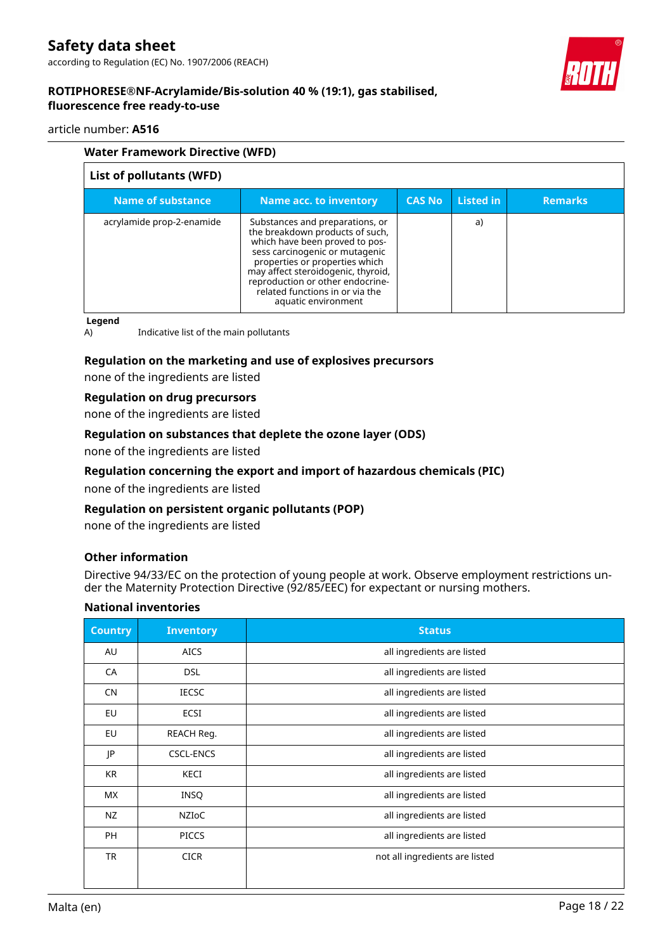### article number: **A516**

| <b>Water Framework Directive (WFD)</b> |                                                                                                                                                                                                                                                                                                              |               |           |                |
|----------------------------------------|--------------------------------------------------------------------------------------------------------------------------------------------------------------------------------------------------------------------------------------------------------------------------------------------------------------|---------------|-----------|----------------|
| List of pollutants (WFD)               |                                                                                                                                                                                                                                                                                                              |               |           |                |
| <b>Name of substance</b>               | Name acc. to inventory                                                                                                                                                                                                                                                                                       | <b>CAS No</b> | Listed in | <b>Remarks</b> |
| acrylamide prop-2-enamide              | Substances and preparations, or<br>the breakdown products of such,<br>which have been proved to pos-<br>sess carcinogenic or mutagenic<br>properties or properties which<br>may affect steroidogenic, thyroid,<br>reproduction or other endocrine-<br>related functions in or via the<br>aquatic environment |               | a)        |                |

**Legend**

A) Indicative list of the main pollutants

### **Regulation on the marketing and use of explosives precursors**

none of the ingredients are listed

### **Regulation on drug precursors**

none of the ingredients are listed

### **Regulation on substances that deplete the ozone layer (ODS)**

none of the ingredients are listed

### **Regulation concerning the export and import of hazardous chemicals (PIC)**

none of the ingredients are listed

### **Regulation on persistent organic pollutants (POP)**

none of the ingredients are listed

### **Other information**

Directive 94/33/EC on the protection of young people at work. Observe employment restrictions under the Maternity Protection Directive (92/85/EEC) for expectant or nursing mothers.

### **National inventories**

| <b>Country</b> | <b>Inventory</b> | <b>Status</b>                  |
|----------------|------------------|--------------------------------|
| AU             | <b>AICS</b>      | all ingredients are listed     |
| CA             | <b>DSL</b>       | all ingredients are listed     |
| <b>CN</b>      | <b>IECSC</b>     | all ingredients are listed     |
| EU             | <b>ECSI</b>      | all ingredients are listed     |
| EU             | REACH Reg.       | all ingredients are listed     |
| JP             | <b>CSCL-ENCS</b> | all ingredients are listed     |
| <b>KR</b>      | KECI             | all ingredients are listed     |
| <b>MX</b>      | INSQ             | all ingredients are listed     |
| NZ             | <b>NZIOC</b>     | all ingredients are listed     |
| <b>PH</b>      | <b>PICCS</b>     | all ingredients are listed     |
| <b>TR</b>      | <b>CICR</b>      | not all ingredients are listed |
|                |                  |                                |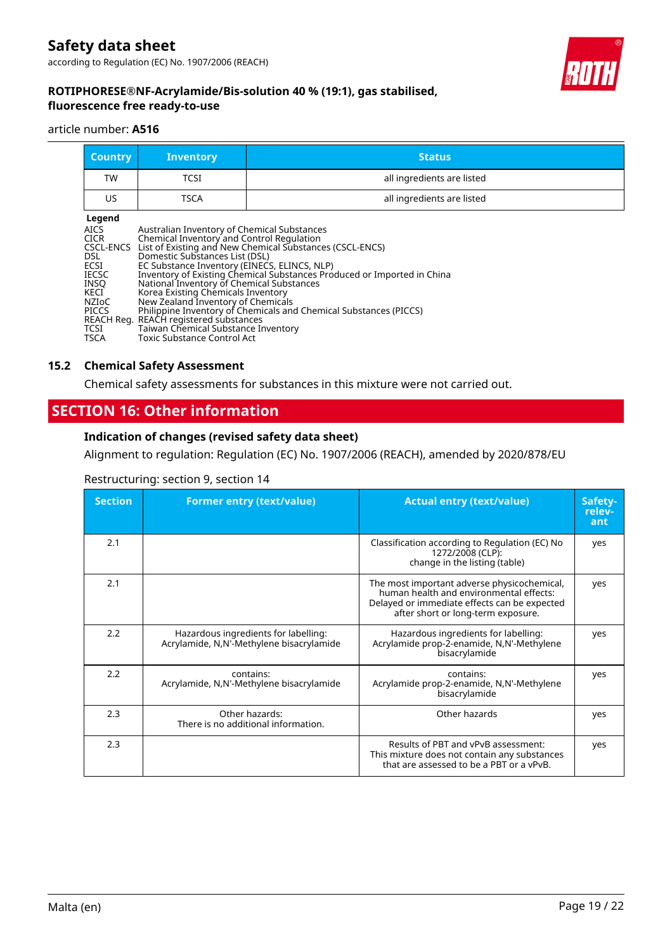

### **ROTIPHORESE®NF-Acrylamide/Bis-solution 40 % (19:1), gas stabilised, fluorescence free ready-to-use**

### article number: **A516**

| <b>Country</b> | <b>Inventory</b> | <b>Status</b>              |
|----------------|------------------|----------------------------|
| <b>TW</b>      | TCSI             | all ingredients are listed |
| US.            | TSCA             | all ingredients are listed |
| hnene          |                  |                            |

| M.<br>×<br>., |
|---------------|
|               |

### **15.2 Chemical Safety Assessment**

Chemical safety assessments for substances in this mixture were not carried out.

### **SECTION 16: Other information**

### **Indication of changes (revised safety data sheet)**

Alignment to regulation: Regulation (EC) No. 1907/2006 (REACH), amended by 2020/878/EU

### Restructuring: section 9, section 14

| <b>Section</b> | <b>Former entry (text/value)</b>                                                 | <b>Actual entry (text/value)</b>                                                                                                                                             | Safety-<br>relev-<br>ant |
|----------------|----------------------------------------------------------------------------------|------------------------------------------------------------------------------------------------------------------------------------------------------------------------------|--------------------------|
| 2.1            |                                                                                  | Classification according to Regulation (EC) No<br>1272/2008 (CLP):<br>change in the listing (table)                                                                          | yes                      |
| 2.1            |                                                                                  | The most important adverse physicochemical,<br>human health and environmental effects:<br>Delayed or immediate effects can be expected<br>after short or long-term exposure. | yes                      |
| 2.2            | Hazardous ingredients for labelling:<br>Acrylamide, N,N'-Methylene bisacrylamide | Hazardous ingredients for labelling:<br>Acrylamide prop-2-enamide, N,N'-Methylene<br>bisacrylamide                                                                           | yes                      |
| 2.2            | contains:<br>Acrylamide, N,N'-Methylene bisacrylamide                            | contains:<br>Acrylamide prop-2-enamide, N,N'-Methylene<br>bisacrylamide                                                                                                      | yes                      |
| 2.3            | Other hazards:<br>There is no additional information.                            | Other hazards                                                                                                                                                                | yes                      |
| 2.3            |                                                                                  | Results of PBT and vPvB assessment:<br>This mixture does not contain any substances<br>that are assessed to be a PBT or a vPvB.                                              | yes                      |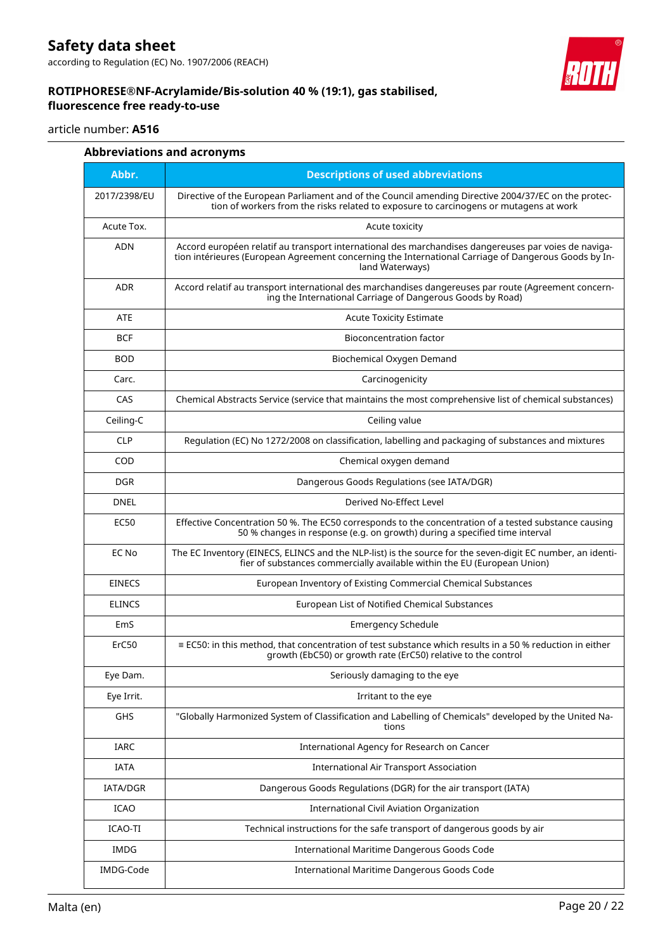# **Safety data sheet**

according to Regulation (EC) No. 1907/2006 (REACH)

### **ROTIPHORESE®NF-Acrylamide/Bis-solution 40 % (19:1), gas stabilised, fluorescence free ready-to-use**



### article number: **A516**

|               | <b>Abbreviations and acronyms</b>                                                                                                                                                                                               |
|---------------|---------------------------------------------------------------------------------------------------------------------------------------------------------------------------------------------------------------------------------|
| Abbr.         | <b>Descriptions of used abbreviations</b>                                                                                                                                                                                       |
| 2017/2398/EU  | Directive of the European Parliament and of the Council amending Directive 2004/37/EC on the protec-<br>tion of workers from the risks related to exposure to carcinogens or mutagens at work                                   |
| Acute Tox.    | Acute toxicity                                                                                                                                                                                                                  |
| ADN           | Accord européen relatif au transport international des marchandises dangereuses par voies de naviga-<br>tion intérieures (European Agreement concerning the International Carriage of Dangerous Goods by In-<br>land Waterways) |
| <b>ADR</b>    | Accord relatif au transport international des marchandises dangereuses par route (Agreement concern-<br>ing the International Carriage of Dangerous Goods by Road)                                                              |
| ATE           | <b>Acute Toxicity Estimate</b>                                                                                                                                                                                                  |
| <b>BCF</b>    | Bioconcentration factor                                                                                                                                                                                                         |
| <b>BOD</b>    | Biochemical Oxygen Demand                                                                                                                                                                                                       |
| Carc.         | Carcinogenicity                                                                                                                                                                                                                 |
| CAS           | Chemical Abstracts Service (service that maintains the most comprehensive list of chemical substances)                                                                                                                          |
| Ceiling-C     | Ceiling value                                                                                                                                                                                                                   |
| <b>CLP</b>    | Regulation (EC) No 1272/2008 on classification, labelling and packaging of substances and mixtures                                                                                                                              |
| <b>COD</b>    | Chemical oxygen demand                                                                                                                                                                                                          |
| <b>DGR</b>    | Dangerous Goods Regulations (see IATA/DGR)                                                                                                                                                                                      |
| <b>DNEL</b>   | Derived No-Effect Level                                                                                                                                                                                                         |
| EC50          | Effective Concentration 50 %. The EC50 corresponds to the concentration of a tested substance causing<br>50 % changes in response (e.g. on growth) during a specified time interval                                             |
| EC No         | The EC Inventory (EINECS, ELINCS and the NLP-list) is the source for the seven-digit EC number, an identi-<br>fier of substances commercially available within the EU (European Union)                                          |
| <b>EINECS</b> | European Inventory of Existing Commercial Chemical Substances                                                                                                                                                                   |
| <b>ELINCS</b> | European List of Notified Chemical Substances                                                                                                                                                                                   |
| EmS           | <b>Emergency Schedule</b>                                                                                                                                                                                                       |
| ErC50         | ≡ EC50: in this method, that concentration of test substance which results in a 50 % reduction in either<br>growth (EbC50) or growth rate (ErC50) relative to the control                                                       |
| Eye Dam.      | Seriously damaging to the eye                                                                                                                                                                                                   |
| Eye Irrit.    | Irritant to the eye                                                                                                                                                                                                             |
| <b>GHS</b>    | "Globally Harmonized System of Classification and Labelling of Chemicals" developed by the United Na-<br>tions                                                                                                                  |
| IARC          | International Agency for Research on Cancer                                                                                                                                                                                     |
| IATA          | <b>International Air Transport Association</b>                                                                                                                                                                                  |
| IATA/DGR      | Dangerous Goods Regulations (DGR) for the air transport (IATA)                                                                                                                                                                  |
| ICAO          | International Civil Aviation Organization                                                                                                                                                                                       |
| ICAO-TI       | Technical instructions for the safe transport of dangerous goods by air                                                                                                                                                         |
| IMDG          | International Maritime Dangerous Goods Code                                                                                                                                                                                     |
| IMDG-Code     | International Maritime Dangerous Goods Code                                                                                                                                                                                     |
|               |                                                                                                                                                                                                                                 |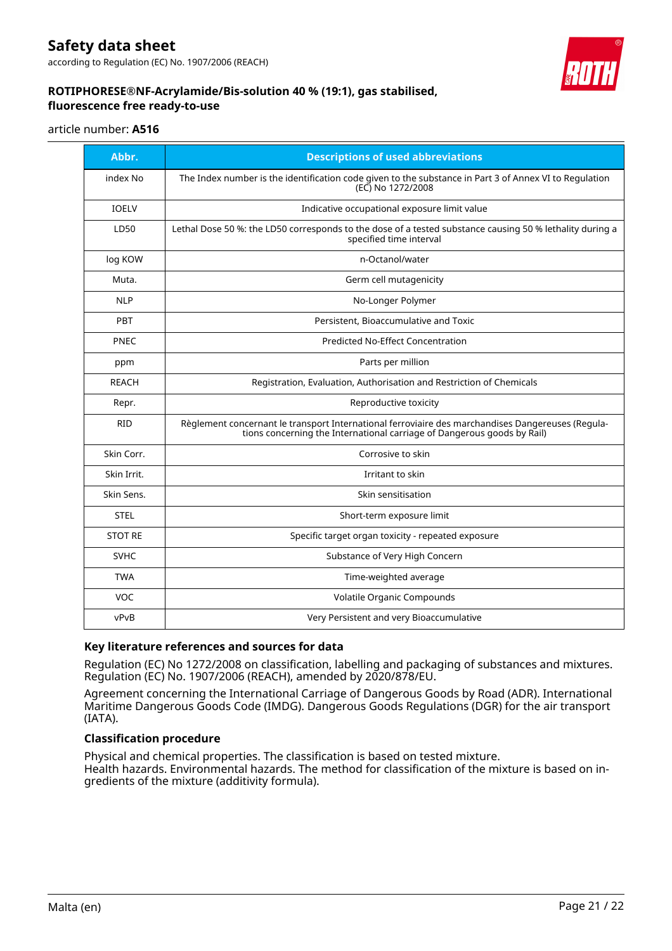# **Safety data sheet**

according to Regulation (EC) No. 1907/2006 (REACH)



### **ROTIPHORESE®NF-Acrylamide/Bis-solution 40 % (19:1), gas stabilised, fluorescence free ready-to-use**

### article number: **A516**

| Abbr.          | <b>Descriptions of used abbreviations</b>                                                                                                                                    |
|----------------|------------------------------------------------------------------------------------------------------------------------------------------------------------------------------|
| index No       | The Index number is the identification code given to the substance in Part 3 of Annex VI to Regulation<br>(EC) No 1272/2008                                                  |
| <b>IOELV</b>   | Indicative occupational exposure limit value                                                                                                                                 |
| LD50           | Lethal Dose 50 %: the LD50 corresponds to the dose of a tested substance causing 50 % lethality during a<br>specified time interval                                          |
| log KOW        | n-Octanol/water                                                                                                                                                              |
| Muta.          | Germ cell mutagenicity                                                                                                                                                       |
| <b>NLP</b>     | No-Longer Polymer                                                                                                                                                            |
| PBT            | Persistent, Bioaccumulative and Toxic                                                                                                                                        |
| <b>PNEC</b>    | <b>Predicted No-Effect Concentration</b>                                                                                                                                     |
| ppm            | Parts per million                                                                                                                                                            |
| <b>REACH</b>   | Registration, Evaluation, Authorisation and Restriction of Chemicals                                                                                                         |
| Repr.          | Reproductive toxicity                                                                                                                                                        |
| <b>RID</b>     | Règlement concernant le transport International ferroviaire des marchandises Dangereuses (Regula-<br>tions concerning the International carriage of Dangerous goods by Rail) |
| Skin Corr.     | Corrosive to skin                                                                                                                                                            |
| Skin Irrit.    | Irritant to skin                                                                                                                                                             |
| Skin Sens.     | Skin sensitisation                                                                                                                                                           |
| <b>STEL</b>    | Short-term exposure limit                                                                                                                                                    |
| <b>STOT RE</b> | Specific target organ toxicity - repeated exposure                                                                                                                           |
| <b>SVHC</b>    | Substance of Very High Concern                                                                                                                                               |
| <b>TWA</b>     | Time-weighted average                                                                                                                                                        |
| <b>VOC</b>     | Volatile Organic Compounds                                                                                                                                                   |
| vPvB           | Very Persistent and very Bioaccumulative                                                                                                                                     |

### **Key literature references and sources for data**

Regulation (EC) No 1272/2008 on classification, labelling and packaging of substances and mixtures. Regulation (EC) No. 1907/2006 (REACH), amended by 2020/878/EU.

Agreement concerning the International Carriage of Dangerous Goods by Road (ADR). International Maritime Dangerous Goods Code (IMDG). Dangerous Goods Regulations (DGR) for the air transport (IATA).

### **Classification procedure**

Physical and chemical properties. The classification is based on tested mixture. Health hazards. Environmental hazards. The method for classification of the mixture is based on ingredients of the mixture (additivity formula).